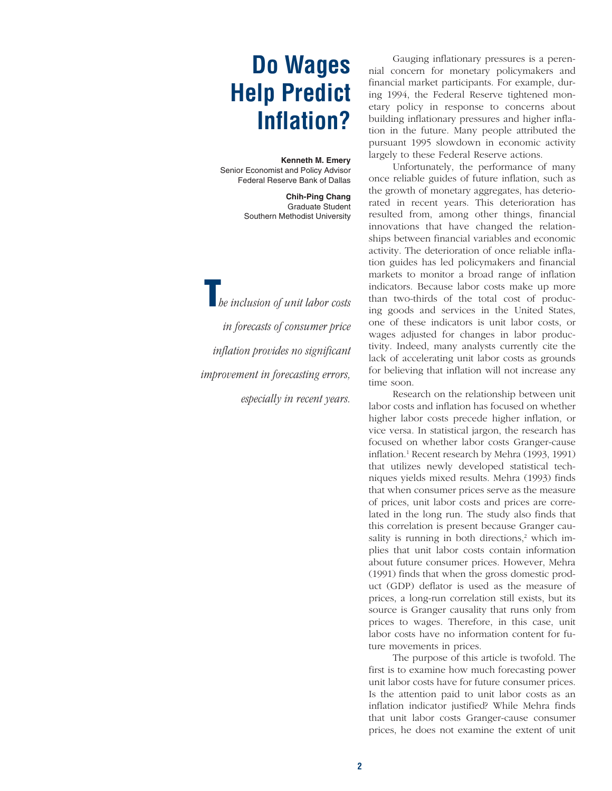# **Do Wages Help Predict Inflation?**

**Kenneth M. Emery** Senior Economist and Policy Advisor Federal Reserve Bank of Dallas

> **Chih-Ping Chang** Graduate Student Southern Methodist University

**T***he inclusion of unit labor costs in forecasts of consumer price inflation provides no significant improvement in forecasting errors, especially in recent years.*

Gauging inflationary pressures is a perennial concern for monetary policymakers and financial market participants. For example, during 1994, the Federal Reserve tightened monetary policy in response to concerns about building inflationary pressures and higher inflation in the future. Many people attributed the pursuant 1995 slowdown in economic activity largely to these Federal Reserve actions.

Unfortunately, the performance of many once reliable guides of future inflation, such as the growth of monetary aggregates, has deteriorated in recent years. This deterioration has resulted from, among other things, financial innovations that have changed the relationships between financial variables and economic activity. The deterioration of once reliable inflation guides has led policymakers and financial markets to monitor a broad range of inflation indicators. Because labor costs make up more than two-thirds of the total cost of producing goods and services in the United States, one of these indicators is unit labor costs, or wages adjusted for changes in labor productivity. Indeed, many analysts currently cite the lack of accelerating unit labor costs as grounds for believing that inflation will not increase any time soon.

Research on the relationship between unit labor costs and inflation has focused on whether higher labor costs precede higher inflation, or vice versa. In statistical jargon, the research has focused on whether labor costs Granger-cause inflation.1 Recent research by Mehra (1993, 1991) that utilizes newly developed statistical techniques yields mixed results. Mehra (1993) finds that when consumer prices serve as the measure of prices, unit labor costs and prices are correlated in the long run. The study also finds that this correlation is present because Granger causality is running in both directions, $2$  which implies that unit labor costs contain information about future consumer prices. However, Mehra (1991) finds that when the gross domestic product (GDP) deflator is used as the measure of prices, a long-run correlation still exists, but its source is Granger causality that runs only from prices to wages. Therefore, in this case, unit labor costs have no information content for future movements in prices.

The purpose of this article is twofold. The first is to examine how much forecasting power unit labor costs have for future consumer prices. Is the attention paid to unit labor costs as an inflation indicator justified? While Mehra finds that unit labor costs Granger-cause consumer prices, he does not examine the extent of unit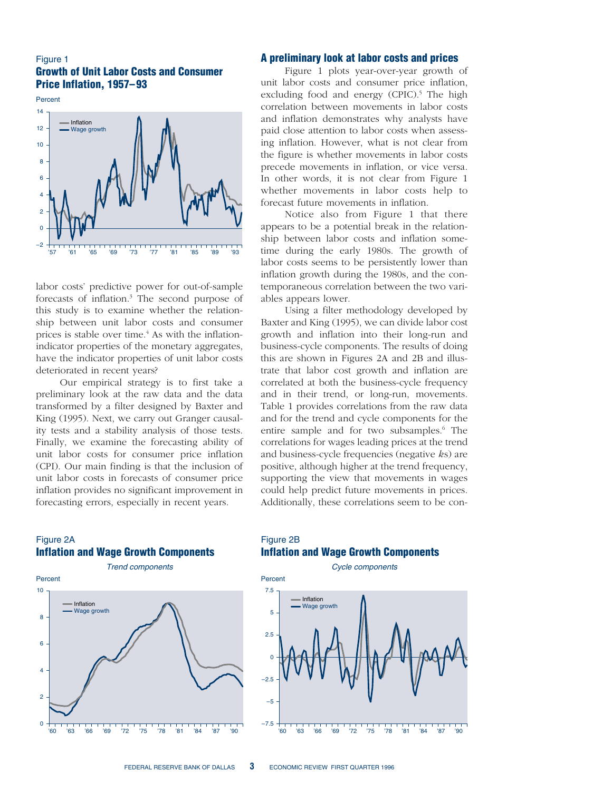#### Figure 1 **Growth of Unit Labor Costs and Consumer Price Inflation, 1957–93**

Percent –2  $\Omega$ 2 4 6 8 10 12 14 '57 '61 '65 '69 '73 '77 '81 '85 '89 '93 Wage growth Inflation

labor costs' predictive power for out-of-sample forecasts of inflation.3 The second purpose of this study is to examine whether the relationship between unit labor costs and consumer prices is stable over time.<sup>4</sup> As with the inflationindicator properties of the monetary aggregates, have the indicator properties of unit labor costs deteriorated in recent years?

Our empirical strategy is to first take a preliminary look at the raw data and the data transformed by a filter designed by Baxter and King (1995). Next, we carry out Granger causality tests and a stability analysis of those tests. Finally, we examine the forecasting ability of unit labor costs for consumer price inflation (CPI). Our main finding is that the inclusion of unit labor costs in forecasts of consumer price inflation provides no significant improvement in forecasting errors, especially in recent years.

#### **A preliminary look at labor costs and prices**

Figure 1 plots year-over-year growth of unit labor costs and consumer price inflation, excluding food and energy (CPIC).<sup>5</sup> The high correlation between movements in labor costs and inflation demonstrates why analysts have paid close attention to labor costs when assessing inflation. However, what is not clear from the figure is whether movements in labor costs precede movements in inflation, or vice versa. In other words, it is not clear from Figure 1 whether movements in labor costs help to forecast future movements in inflation.

Notice also from Figure 1 that there appears to be a potential break in the relationship between labor costs and inflation sometime during the early 1980s. The growth of labor costs seems to be persistently lower than inflation growth during the 1980s, and the contemporaneous correlation between the two variables appears lower.

Using a filter methodology developed by Baxter and King (1995), we can divide labor cost growth and inflation into their long-run and business-cycle components. The results of doing this are shown in Figures 2A and 2B and illustrate that labor cost growth and inflation are correlated at both the business-cycle frequency and in their trend, or long-run, movements. Table 1 provides correlations from the raw data and for the trend and cycle components for the entire sample and for two subsamples.<sup>6</sup> The correlations for wages leading prices at the trend and business-cycle frequencies (negative *k*s) are positive, although higher at the trend frequency, supporting the view that movements in wages could help predict future movements in prices. Additionally, these correlations seem to be con-

#### Figure 2A **Inflation and Wage Growth Components**



## Figure 2B **Inflation and Wage Growth Components**

Cycle components

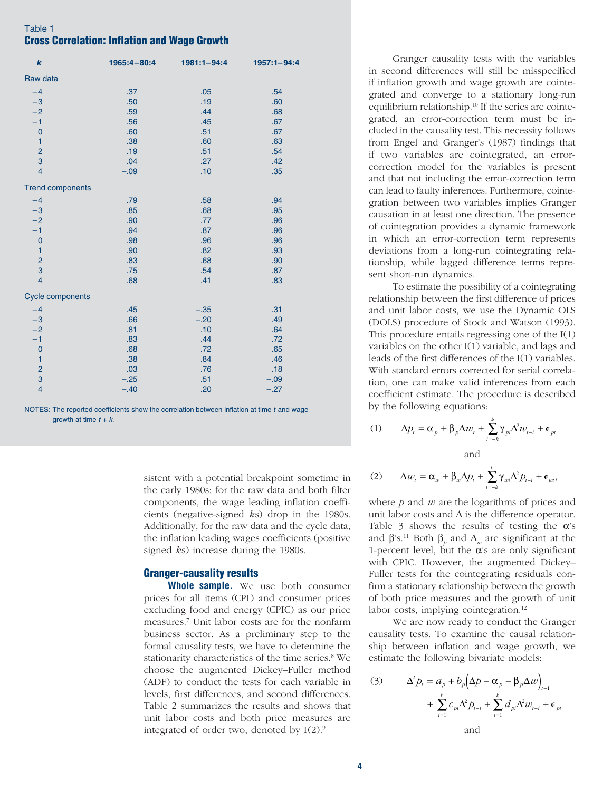# Table 1 **Cross Correlation: Inflation and Wage Growth**

| $\boldsymbol{k}$        | 1965:4-80:4 | 1981:1-94:4 | 1957:1-94:4 |
|-------------------------|-------------|-------------|-------------|
| Raw data                |             |             |             |
| $-4$                    | .37         | .05         | .54         |
| $-3$                    | .50         | .19         | .60         |
| $-2$                    | .59         | .44         | .68         |
| $-1$                    | .56         | .45         | .67         |
| $\mathbf 0$             | .60         | .51         | .67         |
| $\mathbf{1}$            | .38         | .60         | .63         |
| $\overline{c}$          | .19         | .51         | .54         |
| 3                       | .04         | .27         | .42         |
| $\overline{4}$          | $-.09$      | .10         | .35         |
| <b>Trend components</b> |             |             |             |
| $-4$                    | .79         | .58         | .94         |
| $-3$                    | .85         | .68         | .95         |
| $-2$                    | .90         | .77         | .96         |
| $-1$                    | .94         | .87         | .96         |
| $\overline{0}$          | .98         | .96         | .96         |
| $\mathbf{1}$            | .90         | .82         | .93         |
| $\overline{c}$          | .83         | .68         | .90         |
| 3                       | .75         | .54         | .87         |
| $\overline{4}$          | .68         | .41         | .83         |
| <b>Cycle components</b> |             |             |             |
| $-4$                    | .45         | $-.35$      | .31         |
| $-3$                    | .66         | $-.20$      | .49         |
| $-2$                    | .81         | .10         | .64         |
| $-1$                    | .83         | .44         | .72         |
| $\mathbf 0$             | .68         | .72         | .65         |
| $\mathbf{1}$            | .38         | .84         | .46         |
| $\overline{c}$          | .03         | .76         | .18         |
| 3                       | $-.25$      | .51         | $-.09$      |
| $\overline{4}$          | $-.40$      | .20         | $-.27$      |
|                         |             |             |             |

NOTES: The reported coefficients show the correlation between inflation at time  $t$  and wage growth at time  $t + k$ .

> sistent with a potential breakpoint sometime in the early 1980s: for the raw data and both filter components, the wage leading inflation coefficients (negative-signed *k*s) drop in the 1980s. Additionally, for the raw data and the cycle data, the inflation leading wages coefficients (positive signed *k*s) increase during the 1980s.

#### **Granger-causality results**

**Whole sample.** We use both consumer prices for all items (CPI) and consumer prices excluding food and energy (CPIC) as our price measures.7 Unit labor costs are for the nonfarm business sector. As a preliminary step to the formal causality tests, we have to determine the stationarity characteristics of the time series.<sup>8</sup> We choose the augmented Dickey–Fuller method (ADF) to conduct the tests for each variable in levels, first differences, and second differences. Table 2 summarizes the results and shows that unit labor costs and both price measures are integrated of order two, denoted by  $I(2)$ .<sup>9</sup>

Granger causality tests with the variables in second differences will still be misspecified if inflation growth and wage growth are cointegrated and converge to a stationary long-run equilibrium relationship.10 If the series are cointegrated, an error-correction term must be included in the causality test. This necessity follows from Engel and Granger's (1987) findings that if two variables are cointegrated, an errorcorrection model for the variables is present and that not including the error-correction term can lead to faulty inferences. Furthermore, cointegration between two variables implies Granger causation in at least one direction. The presence of cointegration provides a dynamic framework in which an error-correction term represents deviations from a long-run cointegrating relationship, while lagged difference terms represent short-run dynamics.

To estimate the possibility of a cointegrating relationship between the first difference of prices and unit labor costs, we use the Dynamic OLS (DOLS) procedure of Stock and Watson (1993). This procedure entails regressing one of the I(1) variables on the other I(1) variable, and lags and leads of the first differences of the I(1) variables. With standard errors corrected for serial correlation, one can make valid inferences from each coefficient estimate. The procedure is described by the following equations:

(1) 
$$
\Delta p_t = \alpha_p + \beta_p \Delta w_t + \sum_{i=-k}^{k} \gamma_{pi} \Delta^2 w_{t-i} + \epsilon_{pt}
$$
 and

$$
(2) \qquad \Delta w_t = \alpha_w + \beta_w \Delta p_t + \sum_{i=-k}^k \gamma_{wi} \Delta^2 p_{t-i} + \epsilon_{wi},
$$

where *p* and *w* are the logarithms of prices and unit labor costs and  $\Delta$  is the difference operator. Table 3 shows the results of testing the  $\alpha$ 's and  $\beta$ 's.<sup>11</sup> Both  $\beta_{\rho}$  and  $\Delta_{w}$  are significant at the 1-percent level, but the  $\alpha$ 's are only significant with CPIC. However, the augmented Dickey– Fuller tests for the cointegrating residuals confirm a stationary relationship between the growth of both price measures and the growth of unit labor costs, implying cointegration.<sup>12</sup>

We are now ready to conduct the Granger causality tests. To examine the causal relationship between inflation and wage growth, we estimate the following bivariate models:

(3) 
$$
\Delta^2 p_t = a_p + b_p \left( \Delta p - \alpha_p - \beta_p \Delta w \right)_{t=1} + \sum_{i=1}^k c_{pi} \Delta^2 p_{t-i} + \sum_{i=1}^k d_{pi} \Delta^2 w_{t-i} + \epsilon_{pt}
$$
  
and

**4**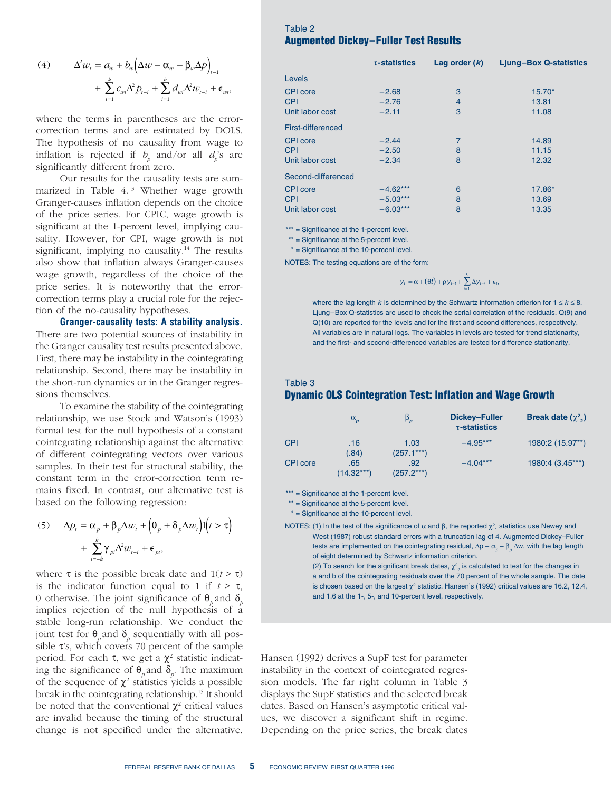(4) 
$$
\Delta^2 w_t = a_w + b_w \left( \Delta w - \alpha_w - \beta_w \Delta p \right)_{t-1} + \sum_{i=1}^k c_{wi} \Delta^2 p_{t-i} + \sum_{i=1}^k d_{wi} \Delta^2 w_{t-i} + \epsilon_w,
$$

where the terms in parentheses are the errorcorrection terms and are estimated by DOLS. The hypothesis of no causality from wage to inflation is rejected if  $b_p$  and/or all  $d_p$ 's are significantly different from zero.

Our results for the causality tests are summarized in Table 4.13 Whether wage growth Granger-causes inflation depends on the choice of the price series. For CPIC, wage growth is significant at the 1-percent level, implying causality. However, for CPI, wage growth is not significant, implying no causality.<sup>14</sup> The results also show that inflation always Granger-causes wage growth, regardless of the choice of the price series. It is noteworthy that the errorcorrection terms play a crucial role for the rejection of the no-causality hypotheses.

**Granger-causality tests: A stability analysis.** There are two potential sources of instability in the Granger causality test results presented above. First, there may be instability in the cointegrating relationship. Second, there may be instability in the short-run dynamics or in the Granger regressions themselves.

To examine the stability of the cointegrating relationship, we use Stock and Watson's (1993) formal test for the null hypothesis of a constant cointegrating relationship against the alternative of different cointegrating vectors over various samples. In their test for structural stability, the constant term in the error-correction term remains fixed. In contrast, our alternative test is based on the following regression:

(5) 
$$
\Delta p_t = \alpha_p + \beta_p \Delta w_t + \left(\theta_p + \delta_p \Delta w_t\right) \mathbf{1}(t > \tau) + \sum_{i=k}^k \gamma_{pi} \Delta^2 w_{t-i} + \epsilon_p,
$$

where  $\tau$  is the possible break date and  $1(t > \tau)$ is the indicator function equal to 1 if  $t > \tau$ , 0 otherwise. The joint significance of  $\theta_p$  and  $\delta_p$ implies rejection of the null hypothesis of a stable long-run relationship. We conduct the joint test for  $\theta_{p}$  and  $\delta_{p}$  sequentially with all possible  $\tau$ 's, which covers 70 percent of the sample period. For each  $\tau$ , we get a  $\chi^2$  statistic indicating the significance of  $\theta_p$  and  $\delta_p$ . The maximum of the sequence of  $\chi^2$  statistics yields a possible break in the cointegrating relationship.15 It should be noted that the conventional  $\chi^2$  critical values are invalid because the timing of the structural change is not specified under the alternative.

## Table 2 **Augmented Dickey–Fuller Test Results**

|                    | $\tau$ -statistics | Lag order $(k)$ | <b>Ljung-Box Q-statistics</b> |  |  |
|--------------------|--------------------|-----------------|-------------------------------|--|--|
| Levels             |                    |                 |                               |  |  |
| CPI core           | $-2.68$            | 3               | $15.70*$                      |  |  |
| <b>CPI</b>         | $-2.76$            | $\overline{4}$  | 13.81                         |  |  |
| Unit labor cost    | $-2.11$            | 3               | 11.08                         |  |  |
| First-differenced  |                    |                 |                               |  |  |
| CPI core           | $-2.44$            | 7               | 14.89                         |  |  |
| <b>CPI</b>         | $-2.50$            | 8               | 11.15                         |  |  |
| Unit labor cost    | $-2.34$            | 8               | 12.32                         |  |  |
| Second-differenced |                    |                 |                               |  |  |
| <b>CPI</b> core    | $-4.62***$         | 6               | 17.86*                        |  |  |
| <b>CPI</b>         | $-5.03***$         | 8               | 13.69                         |  |  |
| Unit labor cost    | $-6.03***$         | 8               | 13.35                         |  |  |
|                    |                    |                 |                               |  |  |

\*\*\* = Significance at the 1-percent level.

\*\* = Significance at the 5-percent level.

 $*$  = Significance at the 10-percent level.

NOTES: The testing equations are of the form:

$$
y_t = \alpha + (\theta t) + \rho y_{t-1} + \sum_{i=1}^k \Delta y_{t-i} + \epsilon_t,
$$

where the lag length k is determined by the Schwartz information criterion for  $1 \leq k \leq 8$ . Ljung–Box Q-statistics are used to check the serial correlation of the residuals. Q(9) and Q(10) are reported for the levels and for the first and second differences, respectively. All variables are in natural logs. The variables in levels are tested for trend stationarity, and the first- and second-differenced variables are tested for difference stationarity.

#### Table 3 **Dynamic OLS Cointegration Test: Inflation and Wage Growth**

|                 | $\alpha_{p}$        | $\beta_{p}$          | Dickey-Fuller<br>$\tau$ -statistics | Break date $(\chi^2)$ |
|-----------------|---------------------|----------------------|-------------------------------------|-----------------------|
| <b>CPI</b>      | .16<br>(.84)        | 1.03<br>$(257.1***)$ | $-4.95***$                          | 1980:2 (15.97**)      |
| <b>CPI</b> core | .65<br>$(14.32***)$ | .92<br>$(257.2***)$  | $-4.04***$                          | 1980:4 (3.45***)      |

\*\*\* = Significance at the 1-percent level.

\*\* = Significance at the 5-percent level.

 $*$  = Significance at the 10-percent level.

NOTES: (1) In the test of the significance of  $\alpha$  and  $\beta$ , the reported  $\chi^2_{\;\;1}$  statistics use Newey and West (1987) robust standard errors with a truncation lag of 4. Augmented Dickey–Fuller tests are implemented on the cointegrating residual, Δp –  $\alpha_{_{\rho}}$  –  $\beta_{_{\rho}}$  Δw, with the lag length of eight determined by Schwartz information criterion.

(2) To search for the significant break dates,  $\chi^2_{\ 2}$  is calculated to test for the changes in a and b of the cointegrating residuals over the 70 percent of the whole sample. The date is chosen based on the largest  $\chi^2$  statistic. Hansen's (1992) critical values are 16.2, 12.4, and 1.6 at the 1-, 5-, and 10-percent level, respectively.

Hansen (1992) derives a SupF test for parameter instability in the context of cointegrated regression models. The far right column in Table 3 displays the SupF statistics and the selected break dates. Based on Hansen's asymptotic critical values, we discover a significant shift in regime. Depending on the price series, the break dates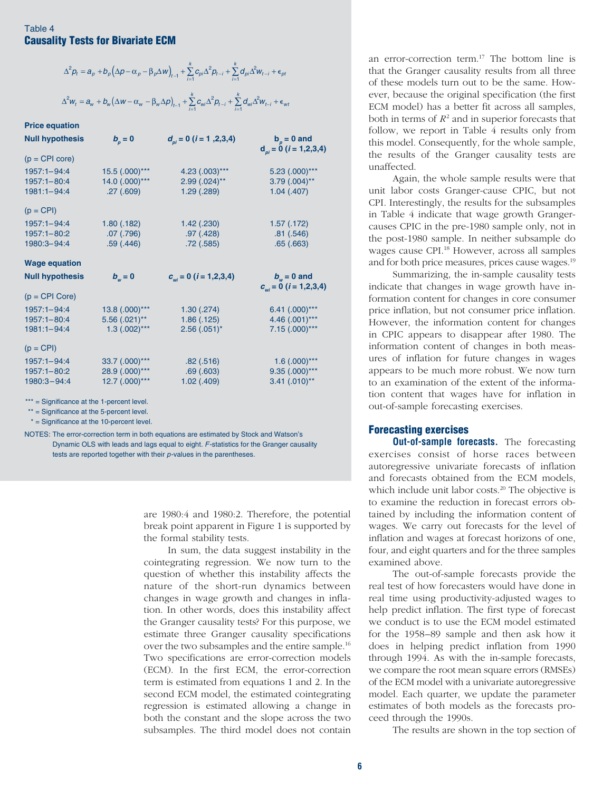## Table 4 **Causality Tests for Bivariate ECM**

| $\Delta^2 \rho_t = a_{\rho} + b_{\rho} \Big( \Delta \rho - \alpha_{\rho} - \beta_{\rho} \Delta w \Big)_{t-1} + \sum_{i=1}^k c_{\rho i} \Delta^2 \rho_{t-i} + \sum_{i=1}^k d_{\rho i} \Delta^2 w_{t-i} + \epsilon_{\rho t}$ |  |
|----------------------------------------------------------------------------------------------------------------------------------------------------------------------------------------------------------------------------|--|
| $\Delta^2w_t=a_w+b_w\big(\Delta w-\alpha_w-\beta_w\Delta p\big)_{t-1}+\sum_{i=1}^k c_{wi}\Delta^2 p_{t-i}+\sum_{i=1}^k d_{wi}\Delta^2 w_{t-i}+\epsilon_{wt}$                                                               |  |

#### **Price equation**

| <b>Null hypothesis</b> | $b_{\scriptscriptstyle p} = 0$ | $d_{ni} = 0$ ( <i>i</i> = 1,2,3,4)    | $b_{n} = 0$ and<br>$d_{ni} = 0$ ( <i>i</i> = 1,2,3,4) |
|------------------------|--------------------------------|---------------------------------------|-------------------------------------------------------|
| $(p = CPI core)$       |                                |                                       |                                                       |
| 1957:1-94:4            | 15.5 (.000)***                 | 4.23 (.003)***                        | $5.23$ $(.000)$ ***                                   |
| $1957:1 - 80:4$        | 14.0 (.000)***                 | $2.99$ $(.024)$ **                    | $3.79$ $(.004)$ **                                    |
| $1981:1 - 94:4$        | .27(.609)                      | 1.29(.289)                            | $1.04$ $(.407)$                                       |
| $(p = CPI)$            |                                |                                       |                                                       |
| $1957:1 - 94:4$        | 1.80(0.182)                    | $1.42$ $(.230)$                       | 1.57(0.172)                                           |
| $1957:1 - 80:2$        | $.07$ $(.796)$                 | .97(.428)                             | .81(.546)                                             |
| 1980:3-94:4            | .59(.446)                      | .72(.585)                             | .65(.663)                                             |
| <b>Wage equation</b>   |                                |                                       |                                                       |
|                        |                                |                                       |                                                       |
| <b>Null hypothesis</b> | $b_{\ldots} = 0$               | $c_{\mu i} = 0$ ( <i>i</i> = 1,2,3,4) | $b_{\mu} = 0$ and                                     |
| $(p = CPI Core)$       |                                |                                       | $c_{\text{w}i} = 0$ ( <i>i</i> = 1,2,3,4)             |
| 1957:1-94:4            | 13.8 (.000)***                 | 1.30(.274)                            | $6.41$ $(.000)$ ***                                   |
| $1957:1 - 80:4$        | $5.56(.021)$ **                | 1.86(.125)                            | 4.46 $(.001)$ ***                                     |
| $1981:1 - 94:4$        | $1.3$ $(.002)$ ***             | $2.56(.051)$ *                        | $7.15(.000)***$                                       |
| $(p = CPI)$            |                                |                                       |                                                       |
| 1957:1-94:4            | 33.7 (.000)***                 | .82(.516)                             | $1.6$ $(.000)$ ***                                    |
| $1957:1 - 80:2$        | 28.9 (.000)***                 | .69(.603)                             | $9.35(.000)$ ***                                      |

\*\*\* = Significance at the 1-percent level.

\*\* = Significance at the 5-percent level.

\* = Significance at the 10-percent level.

NOTES: The error-correction term in both equations are estimated by Stock and Watson's Dynamic OLS with leads and lags equal to eight. F-statistics for the Granger causality tests are reported together with their p-values in the parentheses.

> are 1980:4 and 1980:2. Therefore, the potential break point apparent in Figure 1 is supported by the formal stability tests.

In sum, the data suggest instability in the cointegrating regression. We now turn to the question of whether this instability affects the nature of the short-run dynamics between changes in wage growth and changes in inflation. In other words, does this instability affect the Granger causality tests? For this purpose, we estimate three Granger causality specifications over the two subsamples and the entire sample.16 Two specifications are error-correction models (ECM). In the first ECM, the error-correction term is estimated from equations 1 and 2. In the second ECM model, the estimated cointegrating regression is estimated allowing a change in both the constant and the slope across the two subsamples. The third model does not contain

an error-correction term.17 The bottom line is that the Granger causality results from all three of these models turn out to be the same. However, because the original specification (the first ECM model) has a better fit across all samples, both in terms of  $R^2$  and in superior forecasts that follow, we report in Table 4 results only from this model. Consequently, for the whole sample, the results of the Granger causality tests are unaffected.

Again, the whole sample results were that unit labor costs Granger-cause CPIC, but not CPI. Interestingly, the results for the subsamples in Table 4 indicate that wage growth Grangercauses CPIC in the pre-1980 sample only, not in the post-1980 sample. In neither subsample do wages cause CPI.<sup>18</sup> However, across all samples and for both price measures, prices cause wages.19

Summarizing, the in-sample causality tests indicate that changes in wage growth have information content for changes in core consumer price inflation, but not consumer price inflation. However, the information content for changes in CPIC appears to disappear after 1980. The information content of changes in both measures of inflation for future changes in wages appears to be much more robust. We now turn to an examination of the extent of the information content that wages have for inflation in out-of-sample forecasting exercises.

# **Forecasting exercises**

**Out-of-sample forecasts.** The forecasting exercises consist of horse races between autoregressive univariate forecasts of inflation and forecasts obtained from the ECM models, which include unit labor costs.<sup>20</sup> The objective is to examine the reduction in forecast errors obtained by including the information content of wages. We carry out forecasts for the level of inflation and wages at forecast horizons of one, four, and eight quarters and for the three samples examined above.

The out-of-sample forecasts provide the real test of how forecasters would have done in real time using productivity-adjusted wages to help predict inflation. The first type of forecast we conduct is to use the ECM model estimated for the 1958–89 sample and then ask how it does in helping predict inflation from 1990 through 1994. As with the in-sample forecasts, we compare the root mean square errors (RMSEs) of the ECM model with a univariate autoregressive model. Each quarter, we update the parameter estimates of both models as the forecasts proceed through the 1990s.

The results are shown in the top section of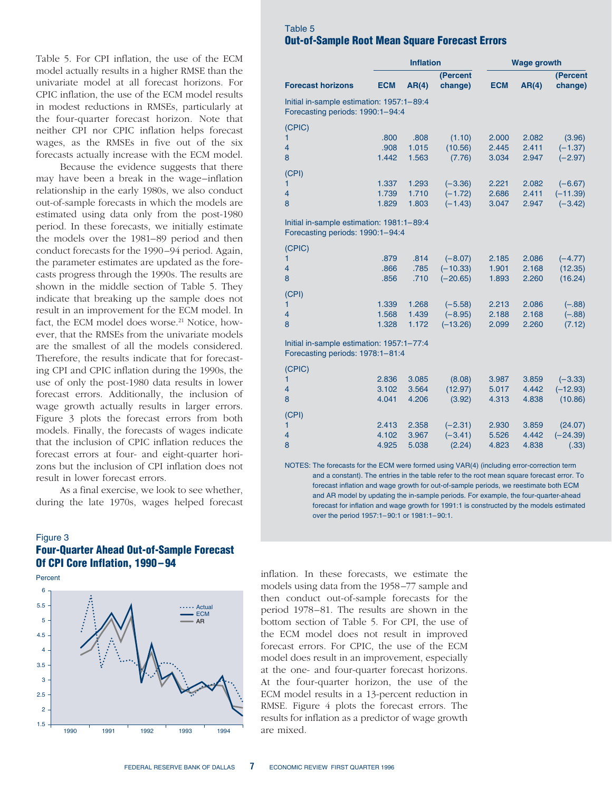Table 5. For CPI inflation, the use of the ECM model actually results in a higher RMSE than the univariate model at all forecast horizons. For CPIC inflation, the use of the ECM model results in modest reductions in RMSEs, particularly at the four-quarter forecast horizon. Note that neither CPI nor CPIC inflation helps forecast wages, as the RMSEs in five out of the six forecasts actually increase with the ECM model.

Because the evidence suggests that there may have been a break in the wage–inflation relationship in the early 1980s, we also conduct out-of-sample forecasts in which the models are estimated using data only from the post-1980 period. In these forecasts, we initially estimate the models over the 1981–89 period and then conduct forecasts for the 1990–94 period. Again, the parameter estimates are updated as the forecasts progress through the 1990s. The results are shown in the middle section of Table 5. They indicate that breaking up the sample does not result in an improvement for the ECM model. In fact, the ECM model does worse.<sup>21</sup> Notice, however, that the RMSEs from the univariate models are the smallest of all the models considered. Therefore, the results indicate that for forecasting CPI and CPIC inflation during the 1990s, the use of only the post-1980 data results in lower forecast errors. Additionally, the inclusion of wage growth actually results in larger errors. Figure 3 plots the forecast errors from both models. Finally, the forecasts of wages indicate that the inclusion of CPIC inflation reduces the forecast errors at four- and eight-quarter horizons but the inclusion of CPI inflation does not result in lower forecast errors.

As a final exercise, we look to see whether, during the late 1970s, wages helped forecast

#### Figure 3 **Four-Quarter Ahead Out-of-Sample Forecast Of CPI Core Inflation, 1990–94**

Percent



# Table 5 **Out-of-Sample Root Mean Square Forecast Errors**

|                                                                               | <b>Inflation</b>        |                         |                                       | <b>Wage growth</b>      |                         |                                      |
|-------------------------------------------------------------------------------|-------------------------|-------------------------|---------------------------------------|-------------------------|-------------------------|--------------------------------------|
| <b>Forecast horizons</b>                                                      | <b>ECM</b>              | AR(4)                   | (Percent<br>change)                   | <b>ECM</b>              | AR(4)                   | (Percent<br>change)                  |
| Initial in-sample estimation: 1957:1-89:4<br>Forecasting periods: 1990:1-94:4 |                         |                         |                                       |                         |                         |                                      |
| (CPIC)<br>1<br>$\overline{4}$<br>8                                            | .800<br>.908<br>1.442   | .808<br>1.015<br>1.563  | (1.10)<br>(10.56)<br>(7.76)           | 2.000<br>2.445<br>3.034 | 2.082<br>2.411<br>2.947 | (3.96)<br>$(-1.37)$<br>$(-2.97)$     |
| (CPI)<br>1<br>$\overline{4}$<br>8                                             | 1.337<br>1.739<br>1.829 | 1.293<br>1.710<br>1.803 | $(-3.36)$<br>$(-1.72)$<br>$(-1.43)$   | 2.221<br>2.686<br>3.047 | 2.082<br>2.411<br>2.947 | $(-6.67)$<br>$(-11.39)$<br>$(-3.42)$ |
| Initial in-sample estimation: 1981:1-89:4<br>Forecasting periods: 1990:1-94:4 |                         |                         |                                       |                         |                         |                                      |
| (CPIC)<br>1<br>$\overline{4}$<br>8                                            | .879<br>.866<br>.856    | .814<br>.785<br>.710    | $(-8.07)$<br>$(-10.33)$<br>$(-20.65)$ | 2.185<br>1.901<br>1.893 | 2.086<br>2.168<br>2.260 | $(-4.77)$<br>(12.35)<br>(16.24)      |
| (CPI)<br>1<br>4<br>8                                                          | 1.339<br>1.568<br>1.328 | 1.268<br>1.439<br>1.172 | $(-5.58)$<br>$(-8.95)$<br>$(-13.26)$  | 2.213<br>2.188<br>2.099 | 2.086<br>2.168<br>2.260 | $(-.88)$<br>$(-.88)$<br>(7.12)       |
| Initial in-sample estimation: 1957:1-77:4<br>Forecasting periods: 1978:1-81:4 |                         |                         |                                       |                         |                         |                                      |
| (CPIC)<br>1<br>4<br>8<br>(CPI)                                                | 2.836<br>3.102<br>4.041 | 3.085<br>3.564<br>4.206 | (8.08)<br>(12.97)<br>(3.92)           | 3.987<br>5.017<br>4.313 | 3.859<br>4.442<br>4.838 | $(-3.33)$<br>$(-12.93)$<br>(10.86)   |
| 1<br>4<br>8                                                                   | 2.413<br>4.102<br>4.925 | 2.358<br>3.967<br>5.038 | $(-2.31)$<br>$(-3.41)$<br>(2.24)      | 2.930<br>5.526<br>4.823 | 3.859<br>4.442<br>4.838 | (24.07)<br>$(-24.39)$<br>(.33)       |

NOTES: The forecasts for the ECM were formed using VAR(4) (including error-correction term and a constant). The entries in the table refer to the root mean square forecast error. To forecast inflation and wage growth for out-of-sample periods, we reestimate both ECM and AR model by updating the in-sample periods. For example, the four-quarter-ahead forecast for inflation and wage growth for 1991:1 is constructed by the models estimated over the period 1957:1–90:1 or 1981:1–90:1.

inflation. In these forecasts, we estimate the models using data from the 1958–77 sample and then conduct out-of-sample forecasts for the period 1978–81. The results are shown in the bottom section of Table 5. For CPI, the use of the ECM model does not result in improved forecast errors. For CPIC, the use of the ECM model does result in an improvement, especially at the one- and four-quarter forecast horizons. At the four-quarter horizon, the use of the ECM model results in a 13-percent reduction in RMSE. Figure 4 plots the forecast errors. The results for inflation as a predictor of wage growth are mixed.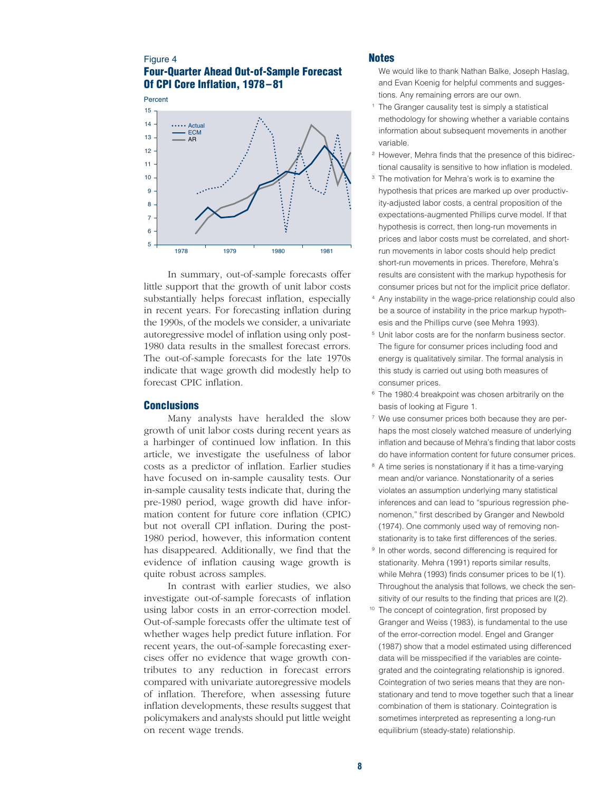## Figure 4 **Four-Quarter Ahead Out-of-Sample Forecast Of CPI Core Inflation, 1978–81**



In summary, out-of-sample forecasts offer little support that the growth of unit labor costs substantially helps forecast inflation, especially in recent years. For forecasting inflation during the 1990s, of the models we consider, a univariate autoregressive model of inflation using only post-1980 data results in the smallest forecast errors. The out-of-sample forecasts for the late 1970s indicate that wage growth did modestly help to forecast CPIC inflation.

#### **Conclusions**

Many analysts have heralded the slow growth of unit labor costs during recent years as a harbinger of continued low inflation. In this article, we investigate the usefulness of labor costs as a predictor of inflation. Earlier studies have focused on in-sample causality tests. Our in-sample causality tests indicate that, during the pre-1980 period, wage growth did have information content for future core inflation (CPIC) but not overall CPI inflation. During the post-1980 period, however, this information content has disappeared. Additionally, we find that the evidence of inflation causing wage growth is quite robust across samples.

In contrast with earlier studies, we also investigate out-of-sample forecasts of inflation using labor costs in an error-correction model. Out-of-sample forecasts offer the ultimate test of whether wages help predict future inflation. For recent years, the out-of-sample forecasting exercises offer no evidence that wage growth contributes to any reduction in forecast errors compared with univariate autoregressive models of inflation. Therefore, when assessing future inflation developments, these results suggest that policymakers and analysts should put little weight on recent wage trends.

#### **Notes**

- We would like to thank Nathan Balke, Joseph Haslag, and Evan Koenig for helpful comments and suggestions. Any remaining errors are our own.
- The Granger causality test is simply a statistical methodology for showing whether a variable contains information about subsequent movements in another variable.
- <sup>2</sup> However, Mehra finds that the presence of this bidirectional causality is sensitive to how inflation is modeled.
- <sup>3</sup> The motivation for Mehra's work is to examine the hypothesis that prices are marked up over productivity-adjusted labor costs, a central proposition of the expectations-augmented Phillips curve model. If that hypothesis is correct, then long-run movements in prices and labor costs must be correlated, and shortrun movements in labor costs should help predict short-run movements in prices. Therefore, Mehra's results are consistent with the markup hypothesis for consumer prices but not for the implicit price deflator.
- <sup>4</sup> Any instability in the wage-price relationship could also be a source of instability in the price markup hypothesis and the Phillips curve (see Mehra 1993).
- <sup>5</sup> Unit labor costs are for the nonfarm business sector. The figure for consumer prices including food and energy is qualitatively similar. The formal analysis in this study is carried out using both measures of consumer prices.
- <sup>6</sup> The 1980:4 breakpoint was chosen arbitrarily on the basis of looking at Figure 1.
- <sup>7</sup> We use consumer prices both because they are perhaps the most closely watched measure of underlying inflation and because of Mehra's finding that labor costs do have information content for future consumer prices.
- <sup>8</sup> A time series is nonstationary if it has a time-varying mean and/or variance. Nonstationarity of a series violates an assumption underlying many statistical inferences and can lead to "spurious regression phenomenon," first described by Granger and Newbold (1974). One commonly used way of removing nonstationarity is to take first differences of the series.
- <sup>9</sup> In other words, second differencing is required for stationarity. Mehra (1991) reports similar results, while Mehra (1993) finds consumer prices to be I(1). Throughout the analysis that follows, we check the sensitivity of our results to the finding that prices are I(2).
- <sup>10</sup> The concept of cointegration, first proposed by Granger and Weiss (1983), is fundamental to the use of the error-correction model. Engel and Granger (1987) show that a model estimated using differenced data will be misspecified if the variables are cointegrated and the cointegrating relationship is ignored. Cointegration of two series means that they are nonstationary and tend to move together such that a linear combination of them is stationary. Cointegration is sometimes interpreted as representing a long-run equilibrium (steady-state) relationship.